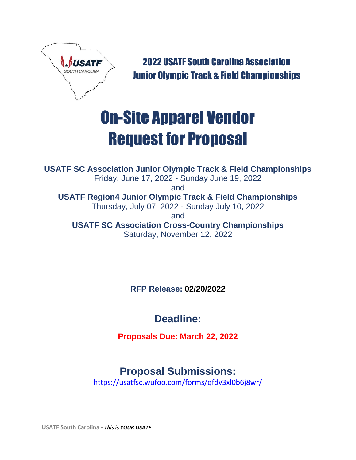

2022 USATF South Carolina Association Junior Olympic Track & Field Championships

# On-Site Apparel Vendor Request for Proposal

**USATF SC Association Junior Olympic Track & Field Championships** Friday, June 17, 2022 - Sunday June 19, 2022

and

**USATF Region4 Junior Olympic Track & Field Championships** Thursday, July 07, 2022 - Sunday July 10, 2022

and

**USATF SC Association Cross-Country Championships** Saturday, November 12, 2022

**RFP Release: 02/20/2022**

# **Deadline:**

**Proposals Due: March 22, 2022**

## **Proposal Submissions:**

<https://usatfsc.wufoo.com/forms/qfdv3xl0b6j8wr/>

**USATF South Carolina -** *This is YOUR USATF*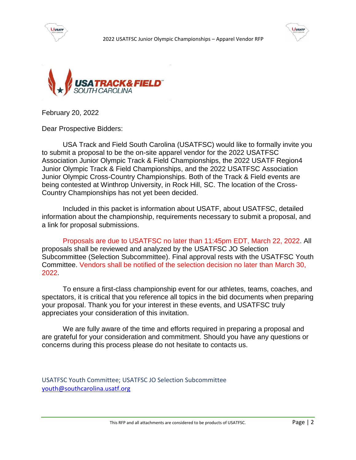



February 20, 2022

Dear Prospective Bidders:

USA Track and Field South Carolina (USATFSC) would like to formally invite you to submit a proposal to be the on-site apparel vendor for the 2022 USATFSC Association Junior Olympic Track & Field Championships, the 2022 USATF Region4 Junior Olympic Track & Field Championships, and the 2022 USATFSC Association Junior Olympic Cross-Country Championships. Both of the Track & Field events are being contested at Winthrop University, in Rock Hill, SC. The location of the Cross-Country Championships has not yet been decided.

2022 USATFSC Junior Olympic Championships – Apparel Vendor RFP

Included in this packet is information about USATF, about USATFSC, detailed information about the championship, requirements necessary to submit a proposal, and a link for proposal submissions.

Proposals are due to USATFSC no later than 11:45pm EDT, March 22, 2022. All proposals shall be reviewed and analyzed by the USATFSC JO Selection Subcommittee (Selection Subcommittee). Final approval rests with the USATFSC Youth Committee. Vendors shall be notified of the selection decision no later than March 30, 2022.

To ensure a first-class championship event for our athletes, teams, coaches, and spectators, it is critical that you reference all topics in the bid documents when preparing your proposal. Thank you for your interest in these events, and USATFSC truly appreciates your consideration of this invitation.

We are fully aware of the time and efforts required in preparing a proposal and are grateful for your consideration and commitment. Should you have any questions or concerns during this process please do not hesitate to contacts us.

USATFSC Youth Committee; USATFSC JO Selection Subcommittee [youth@southcarolina.usatf.org](mailto:youth@southcarolina.usatf.org)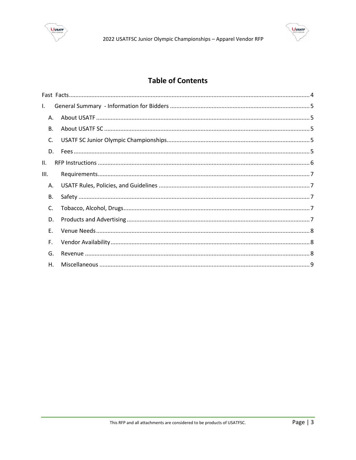



### **Table of Contents**

| Α.  |  |
|-----|--|
| В.  |  |
| C.  |  |
| D.  |  |
| ΙΙ. |  |
| Ш.  |  |
| Α.  |  |
| В.  |  |
| C.  |  |
| D.  |  |
| Ε.  |  |
| F.  |  |
| G.  |  |
| Η.  |  |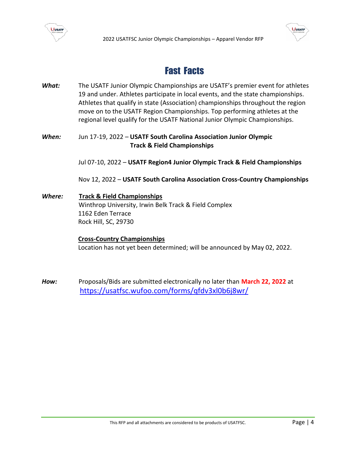



### Fast Facts

<span id="page-3-0"></span>*What:* The USATF Junior Olympic Championships are USATF's premier event for athletes 19 and under. Athletes participate in local events, and the state championships. Athletes that qualify in state (Association) championships throughout the region move on to the USATF Region Championships. Top performing athletes at the regional level qualify for the USATF National Junior Olympic Championships.

#### *When:* Jun 17-19, 2022 – **USATF South Carolina Association Junior Olympic Track & Field Championships**

Jul 07-10, 2022 – **USATF Region4 Junior Olympic Track & Field Championships**

Nov 12, 2022 – **USATF South Carolina Association Cross-Country Championships**

*Where:* **Track & Field Championships** Winthrop University, Irwin Belk Track & Field Complex 1162 Eden Terrace Rock Hill, SC, 29730

#### **Cross-Country Championships**

Location has not yet been determined; will be announced by May 02, 2022.

*How:* Proposals/Bids are submitted electronically no later than **March 22, 2022** at <https://usatfsc.wufoo.com/forms/qfdv3xl0b6j8wr/>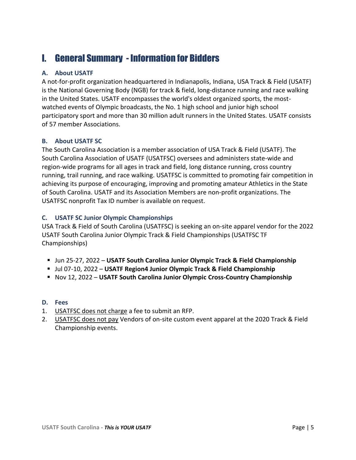### <span id="page-4-0"></span>I. General Summary - Information for Bidders

### <span id="page-4-1"></span>**A. About USATF**

A not-for-profit organization headquartered in Indianapolis, Indiana, USA Track & Field (USATF) is the National Governing Body (NGB) for track & field, long-distance running and race walking in the United States. USATF encompasses the world's oldest organized sports, the mostwatched events of Olympic broadcasts, the No. 1 high school and junior high school participatory sport and more than 30 million adult runners in the United States. USATF consists of 57 member Associations.

### <span id="page-4-2"></span>**B. About USATF SC**

The South Carolina Association is a member association of USA Track & Field (USATF). The South Carolina Association of USATF (USATFSC) oversees and administers state-wide and region-wide programs for all ages in track and field, long distance running, cross country running, trail running, and race walking. USATFSC is committed to promoting fair competition in achieving its purpose of encouraging, improving and promoting amateur Athletics in the State of South Carolina. USATF and its Association Members are non-profit organizations. The USATFSC nonprofit Tax ID number is available on request.

### <span id="page-4-3"></span>**C. USATF SC Junior Olympic Championships**

USA Track & Field of South Carolina (USATFSC) is seeking an on-site apparel vendor for the 2022 USATF South Carolina Junior Olympic Track & Field Championships (USATFSC TF Championships)

- Jun 25-27, 2022 **USATF South Carolina Junior Olympic Track & Field Championship**
- Jul 07-10, 2022 **USATF Region4 Junior Olympic Track & Field Championship**
- Nov 12, 2022 **USATF South Carolina Junior Olympic Cross-Country Championship**

### <span id="page-4-4"></span>**D. Fees**

- 1. USATFSC does not charge a fee to submit an RFP.
- 2. USATFSC does not pay Vendors of on-site custom event apparel at the 2020 Track & Field Championship events.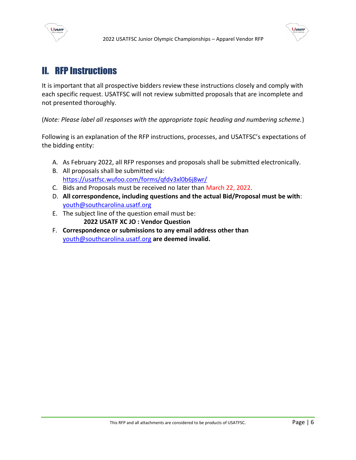



### <span id="page-5-0"></span>II. RFP Instructions

It is important that all prospective bidders review these instructions closely and comply with each specific request. USATFSC will not review submitted proposals that are incomplete and not presented thoroughly.

(*Note: Please label all responses with the appropriate topic heading and numbering scheme.*)

Following is an explanation of the RFP instructions, processes, and USATFSC's expectations of the bidding entity:

- A. As February 2022, all RFP responses and proposals shall be submitted electronically.
- B. All proposals shall be submitted via: <https://usatfsc.wufoo.com/forms/qfdv3xl0b6j8wr/>
- C. Bids and Proposals must be received no later than March 22, 2022.
- D. **All correspondence, including questions and the actual Bid/Proposal must be with**: [youth@southcarolina.usatf.org](mailto:youth@southcarolina.usatf.org)
- E. The subject line of the question email must be: **2022 USATF XC JO : Vendor Question**
- F. **Correspondence or submissions to any email address other than** [youth@southcarolina.usatf.org](mailto:youth@southcarolina.usatf.org) **are deemed invalid.**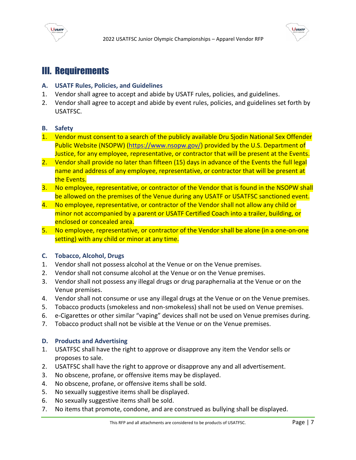



### <span id="page-6-0"></span>III. Requirements

### <span id="page-6-1"></span>**A. USATF Rules, Policies, and Guidelines**

- 1. Vendor shall agree to accept and abide by USATF rules, policies, and guidelines.
- 2. Vendor shall agree to accept and abide by event rules, policies, and guidelines set forth by USATFSC.

### <span id="page-6-2"></span>**B. Safety**

- 1. Vendor must consent to a search of the publicly available Dru Sjodin National Sex Offender Public Website (NSOPW) [\(https://www.nsopw.gov/\)](https://www.nsopw.gov/) provided by the U.S. Department of Justice, for any employee, representative, or contractor that will be present at the Events.
- 2. Vendor shall provide no later than fifteen (15) days in advance of the Events the full legal name and address of any employee, representative, or contractor that will be present at the Events.
- 3. No employee, representative, or contractor of the Vendor that is found in the NSOPW shall be allowed on the premises of the Venue during any USATF or USATFSC sanctioned event.
- 4. No employee, representative, or contractor of the Vendor shall not allow any child or minor not accompanied by a parent or USATF Certified Coach into a trailer, building, or enclosed or concealed area.
- 5. No employee, representative, or contractor of the Vendor shall be alone (in a one-on-one setting) with any child or minor at any time.

### <span id="page-6-3"></span>**C. Tobacco, Alcohol, Drugs**

- 1. Vendor shall not possess alcohol at the Venue or on the Venue premises.
- 2. Vendor shall not consume alcohol at the Venue or on the Venue premises.
- 3. Vendor shall not possess any illegal drugs or drug paraphernalia at the Venue or on the Venue premises.
- 4. Vendor shall not consume or use any illegal drugs at the Venue or on the Venue premises.
- 5. Tobacco products (smokeless and non-smokeless) shall not be used on Venue premises.
- 6. e-Cigarettes or other similar "vaping" devices shall not be used on Venue premises during.
- 7. Tobacco product shall not be visible at the Venue or on the Venue premises.

### <span id="page-6-4"></span>**D. Products and Advertising**

- 1. USATFSC shall have the right to approve or disapprove any item the Vendor sells or proposes to sale.
- 2. USATFSC shall have the right to approve or disapprove any and all advertisement.
- 3. No obscene, profane, or offensive items may be displayed.
- 4. No obscene, profane, or offensive items shall be sold.
- 5. No sexually suggestive items shall be displayed.
- 6. No sexually suggestive items shall be sold.
- 7. No items that promote, condone, and are construed as bullying shall be displayed.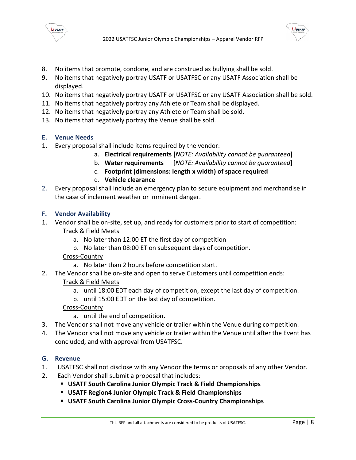



- 8. No items that promote, condone, and are construed as bullying shall be sold.
- 9. No items that negatively portray USATF or USATFSC or any USATF Association shall be displayed.
- 10. No items that negatively portray USATF or USATFSC or any USATF Association shall be sold.
- 11. No items that negatively portray any Athlete or Team shall be displayed.
- 12. No items that negatively portray any Athlete or Team shall be sold.
- 13. No items that negatively portray the Venue shall be sold.

### <span id="page-7-0"></span>**E. Venue Needs**

- 1. Every proposal shall include items required by the vendor:
	- a. **Electrical requirements [***NOTE: Availability cannot be guaranteed***]**
	- b. **Water requirements [***NOTE: Availability cannot be guaranteed***]**
	- c. **Footprint (dimensions: length x width) of space required**
	- d. **Vehicle clearance**
- 2. Every proposal shall include an emergency plan to secure equipment and merchandise in the case of inclement weather or imminent danger.

### <span id="page-7-1"></span>**F. Vendor Availability**

- 1. Vendor shall be on-site, set up, and ready for customers prior to start of competition: Track & Field Meets
	- a. No later than 12:00 ET the first day of competition
	- b. No later than 08:00 ET on subsequent days of competition.

### Cross-Country

- a. No later than 2 hours before competition start.
- 2. The Vendor shall be on-site and open to serve Customers until competition ends: Track & Field Meets
	- a. until 18:00 EDT each day of competition, except the last day of competition.
	- b. until 15:00 EDT on the last day of competition.

### Cross-Country

- a. until the end of competition.
- 3. The Vendor shall not move any vehicle or trailer within the Venue during competition.
- 4. The Vendor shall not move any vehicle or trailer within the Venue until after the Event has concluded, and with approval from USATFSC.

### <span id="page-7-2"></span>**G. Revenue**

- 1. USATFSC shall not disclose with any Vendor the terms or proposals of any other Vendor.
- 2. Each Vendor shall submit a proposal that includes:
	- **USATF South Carolina Junior Olympic Track & Field Championships**
	- **USATF Region4 Junior Olympic Track & Field Championships**
	- **USATF South Carolina Junior Olympic Cross-Country Championships**